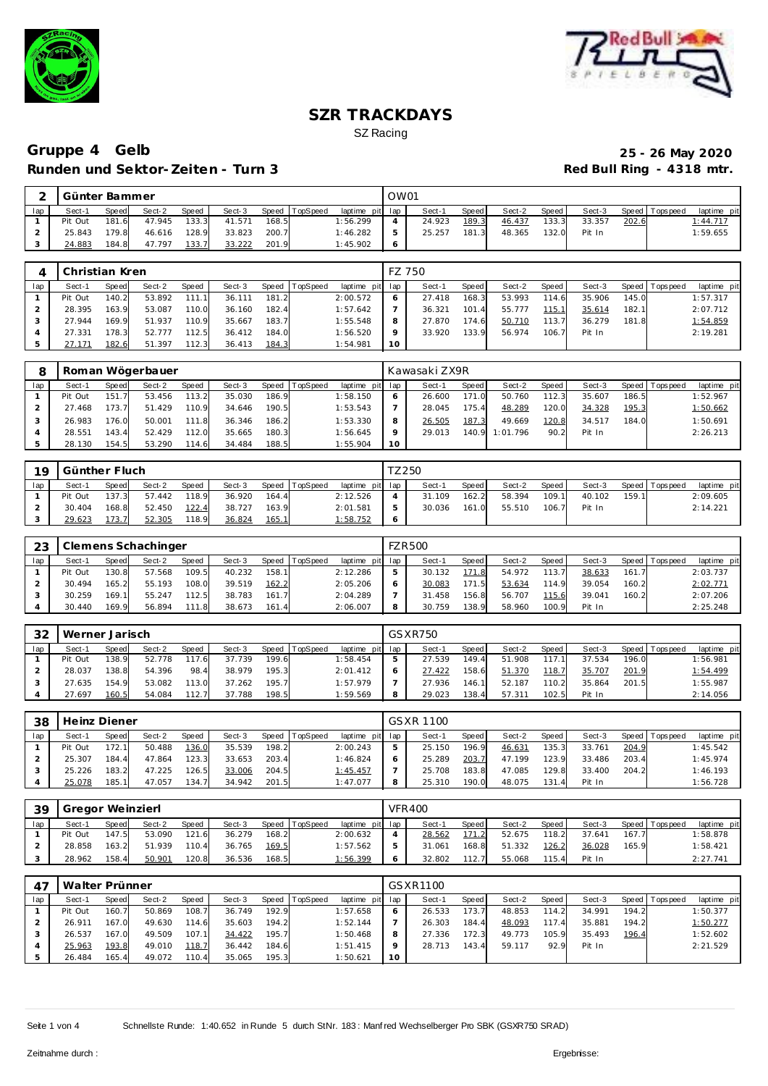



# **Gruppe 4 Gelb 25 - 26 May 2020 Runden und Sektor-Zeiten - Turn 3**

|     | Günter Bammer |              |        |              |        |       |          |                 | OW01 |        |       |        |         |        |       |                |             |
|-----|---------------|--------------|--------|--------------|--------|-------|----------|-----------------|------|--------|-------|--------|---------|--------|-------|----------------|-------------|
| lap | Sect-′        | <b>Speed</b> | Sect-2 | <b>Speed</b> | Sect-3 | Speed | TopSpeed | laptime pit lap |      | Sect-1 | Speed | Sect-2 | Speed I | Sect-3 |       | Speed Topspeed | laptime pit |
|     | Pit Out       | 181.6        | 47.945 | 133.3        | 41.571 | 168.5 |          | 1:56.299        |      | 24.923 | 189.3 | 46.437 | 133.3   | 33.357 | 202.6 |                | 1:44.717    |
|     | 25.843        | 179.8        | 46.616 | 128.9        | 33.823 | 200.7 |          | 1:46.282        |      | 25.257 | 181.3 | 48.365 | 132.0   | Pit In |       |                | 1:59.655    |
|     | 24.883        | 184.8        | 47.797 | 133.7        | 33.222 | 201.9 |          | 1:45.902        |      |        |       |        |         |        |       |                |             |

|     | Christian Kren |       |        |       |        |       |          |                 |    | FZ 750 |       |        |       |        |       |                 |             |
|-----|----------------|-------|--------|-------|--------|-------|----------|-----------------|----|--------|-------|--------|-------|--------|-------|-----------------|-------------|
| lap | Sect-1         | Speed | Sect-2 | Speed | Sect-3 | Speed | TopSpeed | laptime pit lap |    | Sect-1 | Speed | Sect-2 | Speed | Sect-3 |       | Speed Tops peed | laptime pit |
|     | Pit Out        | 140.2 | 53.892 | 111.1 | 36.111 | 181.2 |          | 2:00.572        |    | 27.418 | 168.3 | 53.993 | 114.6 | 35.906 | 145.0 |                 | 1:57.317    |
|     | 28.395         | 163.9 | 53.087 | 110.0 | 36.160 | 182.4 |          | 1:57.642        |    | 36.321 | 101.4 | 55.777 | 115.1 | 35.614 | 182.1 |                 | 2:07.712    |
|     | 27.944         | 169.9 | 51.937 | 110.9 | 35.667 | 183.7 |          | 1:55.548        |    | 27.870 | 174.6 | 50.710 | 113.7 | 36.279 | 181.8 |                 | 1:54.859    |
|     | 27.331         | 178.3 | 52.777 | 112.5 | 36.412 | 184.0 |          | 1:56.520        |    | 33.920 | 133.9 | 56.974 | 106.7 | Pit In |       |                 | 2:19.281    |
|     | 27.171         | 182.6 | 51.397 | 112.3 | 36.413 | 184.3 |          | 1:54.981        | 10 |        |       |        |       |        |       |                 |             |

|     |         | Roman Wögerbauer<br>Speed TopSpeed<br>Sect-2<br>Sect-3<br>Speed<br>Speed<br>151.7<br>186.9<br>113.2<br>35.030<br>53.456<br>190.5<br>173.7<br>51.429<br>110.9<br>34.646 |        |       |        |       |  |                 |         | Kawasaki ZX9R |              |          |       |        |       |                 |             |
|-----|---------|------------------------------------------------------------------------------------------------------------------------------------------------------------------------|--------|-------|--------|-------|--|-----------------|---------|---------------|--------------|----------|-------|--------|-------|-----------------|-------------|
| lap | Sect-1  |                                                                                                                                                                        |        |       |        |       |  | laptime pit lap |         | Sect-1        | <b>Speed</b> | Sect-2   | Speed | Sect-3 |       | Speed Tops peed | laptime pit |
|     | Pit Out |                                                                                                                                                                        |        |       |        |       |  | 1:58.150        | 6       | 26.600        | 171.0        | 50.760   | 112.3 | 35.607 | 186.5 |                 | 1:52.967    |
|     | 27.468  |                                                                                                                                                                        |        |       |        |       |  | 1:53.543        |         | 28.045        | 175.4        | 48.289   | 120.0 | 34.328 | 195.3 |                 | 1:50.662    |
|     | 26.983  | 176.0                                                                                                                                                                  | 50.001 | 111.8 | 36.346 | 186.2 |  | 1:53.330        | 8       | 26.505        | 187.3        | 49.669   | 120.8 | 34.517 | 184.0 |                 | 1:50.691    |
|     | 28.551  | 143.4                                                                                                                                                                  | 52.429 | 112.0 | 35.665 | 180.3 |  | 1:56.645        | $\circ$ | 29.013        | 140.9        | 1:01.796 | 90.2  | Pit In |       |                 | 2:26.213    |
|     | 28.130  | 154.5                                                                                                                                                                  | 53.290 | 114.6 | 34.484 | 188.5 |  | 1:55.904        | 10      |               |              |          |       |        |       |                 |             |

| 19  | Günther Fluch |       |        |              |        |       |                |                 |         | <sup>-</sup> Z250 |       |        |       |        |       |                |             |
|-----|---------------|-------|--------|--------------|--------|-------|----------------|-----------------|---------|-------------------|-------|--------|-------|--------|-------|----------------|-------------|
| lap | Sect-1        | Speed | Sect-2 | <b>Speed</b> | Sect-3 |       | Speed TopSpeed | laptime pit lap |         | Sect-1            | Speed | Sect-2 | Speed | Sect-3 |       | Speed Topspeed | laptime pit |
|     | Pit Out       | 137.3 | 57.442 | 118.9        | 36.920 | 164.4 |                | 2:12.526        |         | 31.109            | 162.2 | 58.394 | 109.1 | 40.102 | 159.1 |                | 2:09.605    |
|     | 30.404        | 168.8 | 52.450 | 122.4        | 38.727 | 163.9 |                | 2:01.581        | 5       | 30.036            | 161.0 | 55.510 | 106.7 | Pit In |       |                | 2:14.221    |
|     | 29.623        | 173.7 | 52.305 | 118.9        | 36.824 | 165.1 |                | 1:58.752        | $\circ$ |                   |       |        |       |        |       |                |             |

| 23  |         |       | Clemens Schachinger |       |        |       |                |                 |   | <b>FZR500</b> |       |        |       |        |       |                 |             |
|-----|---------|-------|---------------------|-------|--------|-------|----------------|-----------------|---|---------------|-------|--------|-------|--------|-------|-----------------|-------------|
| lap | Sect-1  | Speed | Sect-2              | Speed | Sect-3 |       | Speed TopSpeed | laptime pit lap |   | Sect-1        | Speed | Sect-2 | Speed | Sect-3 |       | Speed Tops peed | laptime pit |
|     | Pit Out | 130.8 | 57.568              | 109.5 | 40.232 | 158.1 |                | 2:12.286        | 5 | 30.132        | 171.8 | 54.972 | 113.7 | 38.633 | 161.7 |                 | 2:03.737    |
|     | 30.494  | 165.2 | 55.193              | 108.0 | 39.519 | 162.2 |                | 2:05.206        |   | 30.083        | 171.5 | 53.634 | 114.9 | 39.054 | 160.2 |                 | 2:02.771    |
|     | 30.259  | 169.1 | 55.247              | 112.5 | 38.783 | 161.7 |                | 2:04.289        |   | 31.458        | 156.8 | 56.707 | 115.6 | 39.041 | 160.2 |                 | 2:07.206    |
|     | 30.440  | 169.9 | 56.894              | 111.8 | 38.673 | 161.4 |                | 2:06.007        |   | 30.759        | 138.9 | 58.960 | 100.9 | Pit In |       |                 | 2:25.248    |

| 32  | Werner Jarisch |       |        |              |        |       |                |                 | GSXR750 |         |        |       |        |       |                 |             |
|-----|----------------|-------|--------|--------------|--------|-------|----------------|-----------------|---------|---------|--------|-------|--------|-------|-----------------|-------------|
| lap | Sect-1         | Speed | Sect-2 | <b>Speed</b> | Sect-3 |       | Speed TopSpeed | laptime pit lap | Sect-1  | Speed i | Sect-2 | Speed | Sect-3 |       | Speed Tops peed | laptime pit |
|     | Pit Out        | 138.9 | 52.778 | 17.6         | 37.739 | 199.6 |                | 1:58.454        | 27.539  | 149.4   | 51.908 |       | 37.534 | 196.0 |                 | 1:56.981    |
|     | 28.037         | 138.8 | 54.396 | 98.4         | 38.979 | 195.3 |                | 2:01.412        | 27.422  | 158.6   | 51.370 | 118.7 | 35.707 | 201.9 |                 | 1:54.499    |
|     | 27.635         | 154.9 | 53.082 | 113.0        | 37.262 | 195.7 |                | 1:57.979        | 27.936  | 146.1   | 52.187 | 110.2 | 35.864 | 201.5 |                 | 1:55.987    |
|     | 27.697         | 160.5 | 54.084 | 112.7        | 37.788 | 198.5 |                | 1:59.569        | 29.023  | 138.4   | 57.311 | 102.5 | Pit In |       |                 | 2:14.056    |

| 38  | Heinz Diener |       |        |       |        |       |                |             |     | GSXR 1100 |       |        |                       |        |       |                |             |
|-----|--------------|-------|--------|-------|--------|-------|----------------|-------------|-----|-----------|-------|--------|-----------------------|--------|-------|----------------|-------------|
| lap | Sect-1       | Speed | Sect-2 | Speed | Sect-3 |       | Speed TopSpeed | laptime pit | lap | Sect-1    | Speed | Sect-2 | Speed                 | Sect-3 |       | Speed Topspeed | laptime pit |
|     | Pit Out      | 172.1 | 50.488 | 136.0 | 35.539 | 198.2 |                | 2:00.243    |     | 25.150    | 196.9 | 46.631 | 135.3                 | 33.761 | 204.9 |                | 1:45.542    |
|     | 25.307       | 184.4 | 47.864 | 123.3 | 33.653 | 203.4 |                | 1:46.824    |     | 25.289    | 203.7 | 47.199 | 123.9                 | 33.486 | 203.4 |                | 1:45.974    |
|     | 25.226       | 183.2 | 47.225 | 126.5 | 33.006 | 204.5 |                | 1:45.457    |     | 25.708    | 183.8 | 47.085 | 129.8                 | 33.400 | 204.2 |                | 1:46.193    |
|     | 25.078       | 185.1 | 47.057 | 134.7 | 34.942 | 201.5 |                | 1:47.077    |     | 25.310    | 190.0 | 48.075 | 131<br>$\overline{A}$ | Pit In |       |                | 1:56.728    |

| 39  | Gregor Weinzierl |              |        |       |        |       |                |                 | <b>VFR400</b> |       |        |       |        |       |                |             |
|-----|------------------|--------------|--------|-------|--------|-------|----------------|-----------------|---------------|-------|--------|-------|--------|-------|----------------|-------------|
| lap | Sect-1           | <b>Speed</b> | Sect-2 | Speed | Sect-3 |       | Speed TopSpeed | laptime pit lap | Sect-1        | Speed | Sect-2 | Speed | Sect-3 |       | Speed Topspeed | laptime pit |
|     | Pit Out          | 147.5        | 53.090 | 121.6 | 36.279 | 168.2 |                | 2:00.632        | 28.562        | 171.2 | 52.675 | 118.2 | 37.641 | 167.7 |                | 1:58.878    |
|     | 28.858           | 163.2        | 51.939 | 110.4 | 36.765 | 169.5 |                | 1:57.562        | 31.061        | 168.8 | 51.332 | 126.2 | 36.028 | 165.9 |                | 1:58.421    |
|     | 28.962           | 158.4        | 50.901 | 120.8 | 36.536 | 168.5 |                | 1:56.399        | 32.802        | 112.7 | 55.068 | 115.4 | Pit In |       |                | 2:27.741    |

| $4^-$ | Walter Prünner |                    |        |       |        |        |                |                 |                 | GSXR1100 |       |        |                       |        |       |            |             |
|-------|----------------|--------------------|--------|-------|--------|--------|----------------|-----------------|-----------------|----------|-------|--------|-----------------------|--------|-------|------------|-------------|
| lap   | Sect-1         | Speed              | Sect-2 | Speed | Sect-3 |        | Speed TopSpeed | laptime pit lap |                 | Sect-1   | Speed | Sect-2 | Speed                 | Sect-3 | Speed | Tops pee d | laptime pit |
|       | Pit Out        | 160.7 <sub>1</sub> | 50.869 | 108.7 | 36.749 | 192.9  |                | : 57.658        | <sup>6</sup>    | 26.533   | 173.7 | 48.853 | 114.2                 | 34.991 | 194.2 |            | 1:50.377    |
|       | 26.911         | 167.0              | 49.630 | 114.6 | 35.603 | 194.21 |                | 1:52.144        |                 | 26.303   | 184.4 | 48.093 | 117<br>$\overline{4}$ | 35.881 | 194.2 |            | 1:50.277    |
|       | 26.537         | 167.0              | 49.509 | 107.1 | 34.422 | 195.7  |                | 1:50.468        | 8               | 27.336   | 172.3 | 49.773 | 105.9                 | 35.493 | 196.4 |            | 1:52.602    |
|       | 25.963         | 193.8              | 49.010 | 118.7 | 36.442 | 184.6  |                | 1:51.415        | $\circ$         | 28.713   | 143.4 | 59.117 | 92.9                  | Pit In |       |            | 2:21.529    |
|       | 26.484         | 165.4              | 49.072 | 110.4 | 35.065 | 195.3  |                | 1:50.621        | 10 <sup>°</sup> |          |       |        |                       |        |       |            |             |

Seite 1 von 4 Schnellste Runde: 1:40.652 in Runde 5 durch StNr. 183: Manf red Wechselberger Pro SBK (GSXR750 SRAD)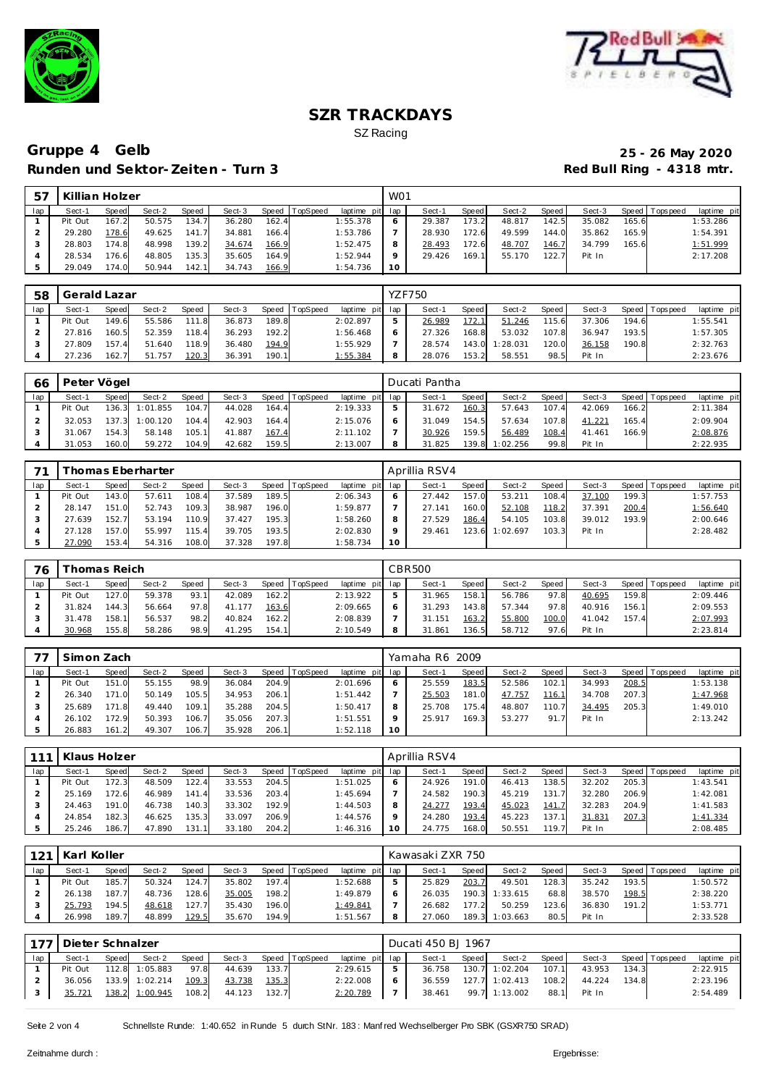



# **Gruppe 4 Gelb 25 - 26 May 2020 Runden und Sektor-Zeiten - Turn 3**

| -57 | Killian Holzer |        |        |       |        |       |                |             | W <sub>01</sub> |        |        |        |       |        |       |                 |             |
|-----|----------------|--------|--------|-------|--------|-------|----------------|-------------|-----------------|--------|--------|--------|-------|--------|-------|-----------------|-------------|
| lap | Sect-1         | Speed  | Sect-2 | Speed | Sect-3 |       | Speed TopSpeed | laptime pit | lap             | Sect-1 | Speed  | Sect-2 | Speed | Sect-3 |       | Speed Tops peed | laptime pit |
|     | Pit Out        | 167.2  | 50.575 | 134.7 | 36.280 | 162.4 |                | 1:55.378    | O               | 29.387 | 173.21 | 48.817 | 142.5 | 35.082 | 165.6 |                 | 1:53.286    |
|     | 29.280         | 178.6  | 49.625 | 141.7 | 34.881 | 166.4 |                | 1:53.786    |                 | 28.930 | 172.6  | 49.599 | 144.0 | 35.862 | 165.9 |                 | 1:54.391    |
|     | 28.803         | 174.81 | 48.998 | 139.2 | 34.674 | 166.9 |                | 1:52.475    | 8               | 28.493 | 172.6  | 48.707 | 146.7 | 34.799 | 165.6 |                 | 1:51.999    |
|     | 28.534         | 176.6  | 48.805 | 135.3 | 35.605 | 164.9 |                | 1:52.944    | Q               | 29.426 | 169.1  | 55.170 | 122.7 | Pit In |       |                 | 2:17.208    |
|     | 29.049         | 174.0  | 50.944 | 142.1 | 34.743 | 166.9 |                | 1:54.736    | 10              |        |        |        |       |        |       |                 |             |

| 58  | Gerald Lazar |       |        |       |        |       |                |                 |   | <b>YZF750</b> |       |          |       |        |       |                 |             |
|-----|--------------|-------|--------|-------|--------|-------|----------------|-----------------|---|---------------|-------|----------|-------|--------|-------|-----------------|-------------|
| lap | Sect-1       | Speed | Sect-2 | Speed | Sect-3 |       | Speed TopSpeed | laptime pit lap |   | Sect-1        | Speed | Sect-2   | Speed | Sect-3 |       | Speed Tops peed | laptime pit |
|     | Pit Out      | 149.6 | 55.586 | 111.8 | 36.873 | 189.8 |                | 2:02.897        | 5 | 26.989        | 172.1 | 51.246   | 115.6 | 37.306 | 194.6 |                 | 1:55.541    |
|     | 27.816       | 160.5 | 52.359 | 118.4 | 36.293 | 192.2 |                | 1:56.468        | 6 | 27.326        | 168.8 | 53.032   | 107.8 | 36.947 | 193.5 |                 | 1:57.305    |
|     | 27.809       | 157.4 | 51.640 | 118.9 | 36.480 | 194.9 |                | 1:55.929        |   | 28.574        | 143.0 | 1:28.031 | 120.0 | 36.158 | 190.8 |                 | 2:32.763    |
|     | 27.236       | 162.7 | 51.757 | 120.3 | 36.391 | 190.1 |                | 1:55.384        | 8 | 28.076        | 153.2 | 58.551   | 98.5  | Pit In |       |                 | 2:23.676    |

| 66  | Peter Vögel |       |          |       |        |       |                |                 |   | Ducati Pantha |       |          |       |        |       |                 |             |
|-----|-------------|-------|----------|-------|--------|-------|----------------|-----------------|---|---------------|-------|----------|-------|--------|-------|-----------------|-------------|
| lap | Sect-1      | Speed | Sect-2   | Speed | Sect-3 |       | Speed TopSpeed | laptime pit lap |   | Sect-1        | Speed | Sect-2   | Speed | Sect-3 |       | Speed Tops peed | laptime pit |
|     | Pit Out     | 136.3 | 1:01.855 | 104.7 | 44.028 | 164.4 |                | 2:19.333        |   | 31.672        | 160.3 | 57.643   | 107.4 | 42.069 | 166.2 |                 | 2:11.384    |
|     | 32.053      | 137.3 | 1:00.120 | 104.4 | 42.903 | 164.4 |                | 2:15.076        |   | 31.049        | 154.5 | 57.634   | 107.8 | 41.221 | 165.4 |                 | 2:09.904    |
|     | 31.067      | 154.3 | 58.148   | 105.1 | 41.887 | 167.4 |                | 2:11.102        |   | 30.926        | 159.5 | 56.489   | 108.4 | 41.461 | 166.9 |                 | 2:08.876    |
|     | 31.053      | 160.0 | 59.272   | 104.9 | 42.682 | 159.5 |                | 2:13.007        | 8 | 31.825        | 139.8 | 1:02.256 | 99.8  | Pit In |       |                 | 2:22.935    |

|     |         |       | homas Eberharter |       |        |       |                  |             |     | Aprillia RSV4 |              |          |       |        |       |                |             |
|-----|---------|-------|------------------|-------|--------|-------|------------------|-------------|-----|---------------|--------------|----------|-------|--------|-------|----------------|-------------|
| lap | Sect-′  | Speed | Sect-2           | Speed | Sect-3 |       | Speed   TopSpeed | laptime pit | lap | Sect-1        | <b>Speed</b> | Sect-2   | Speed | Sect-3 |       | Speed Topspeed | laptime pit |
|     | Pit Out | 43.0  | 57.611           | 108.4 | 37.589 | 189.5 |                  | 2:06.343    | O   | 27.442        | 157.0        | 53.211   | 108.4 | 37.100 | 199.3 |                | 1:57.753    |
|     | 28.147  | 151.0 | 52.743           | 109.3 | 38.987 | 196.0 |                  | 1:59.877    |     | 27.141        | 160.0        | 52.108   | 118.2 | 37.391 | 200.4 |                | 1:56.640    |
|     | 27.639  | 152.7 | 53.194           | 110.9 | 37.427 | 195.3 |                  | 1:58.260    | 8   | 27.529        | 186.4        | 54.105   | 103.8 | 39.012 | 193.9 |                | 2:00.646    |
|     | 27.128  | 157.0 | 55.997           | 115.4 | 39.705 | 193.5 |                  | 2:02.830    | o   | 29.461        | 123.6        | 1:02.697 | 103.3 | Pit In |       |                | 2:28.482    |
|     | 27.090  | 153.4 | 54.316           | 108.0 | 37.328 | 197.8 |                  | 1:58.734    | 10  |               |              |          |       |        |       |                |             |

| 76  |         | homas Reich |        |              |        |       |                |             |              | CBR500 |       |        |       |        |         |           |             |
|-----|---------|-------------|--------|--------------|--------|-------|----------------|-------------|--------------|--------|-------|--------|-------|--------|---------|-----------|-------------|
| lap | Sect-'  | Speed       | Sect-2 | <b>Speed</b> | Sect-3 |       | Speed TopSpeed | laptime pit | lap          | Sect-1 | Speed | Sect-2 | Speed | Sect-3 | Speed T | Tops peed | laptime pit |
|     | Pit Out | 127.0       | 59.378 | 93.1         | 42.089 | 162.2 |                | 2:13.922    | 5            | 31.965 | 158.1 | 56.786 | 97.8  | 40.695 | 159.8   |           | 2:09.446    |
|     | 31.824  | 144.3       | 56.664 | 97.8         | 41.177 | 163.6 |                | 2:09.665    | <sub>O</sub> | 31.293 | 143.8 | 57.344 | 97.8  | 40.916 | 156.1   |           | 2:09.553    |
|     | 31.478  | 158.1       | 56.537 | 98.2         | 40.824 | 162.2 |                | 2:08.839    |              | 31.151 | 163.2 | 55.800 | 100.0 | 41.042 | 157.4   |           | 2:07.993    |
|     | 30.968  | 155.8       | 58.286 | 98.9         | 41.295 | 154.1 |                | 2:10.549    | 8            | 31.861 | 136.5 | 58.712 | 97.6  | Pit In |         |           | 2:23.814    |

|     | Simon Zach |       |        |       |        |       |                |                 |    | Yamaha R6 2009 |       |        |       |        |       |                 |             |
|-----|------------|-------|--------|-------|--------|-------|----------------|-----------------|----|----------------|-------|--------|-------|--------|-------|-----------------|-------------|
| lap | Sect-1     | Speed | Sect-2 | Speed | Sect-3 |       | Speed TopSpeed | laptime pit lap |    | Sect-1         | Speed | Sect-2 | Speed | Sect-3 |       | Speed Tops peed | laptime pit |
|     | Pit Out    | 151.0 | 55.155 | 98.9  | 36.084 | 204.9 |                | 2:01.696        |    | 25.559         | 183.5 | 52.586 | 102.1 | 34.993 | 208.5 |                 | 1:53.138    |
|     | 26.340     | 171.0 | 50.149 | 105.5 | 34.953 | 206.1 |                | 1:51.442        |    | 25.503         | 181.0 | 47.757 | 116.1 | 34.708 | 207.3 |                 | 1:47.968    |
|     | 25.689     | 171.8 | 49.440 | 109.1 | 35.288 | 204.5 |                | 1:50.417        |    | 25.708         | 175.4 | 48.807 | 110.7 | 34.495 | 205.3 |                 | 1:49.010    |
|     | 26.102     | 172.9 | 50.393 | 106.7 | 35.056 | 207.3 |                | 1:51.551        |    | 25.917         | 169.3 | 53.277 | 91.7  | Pit In |       |                 | 2:13.242    |
|     | 26.883     | 161.2 | 49.307 | 106.7 | 35.928 | 206.1 |                | 1:52.118        | 10 |                |       |        |       |        |       |                 |             |

| 111 | Klaus Holzer |       |        |       |        |       |          |                 |         | Aprillia RSV4 |       |        |       |        |       |                |             |
|-----|--------------|-------|--------|-------|--------|-------|----------|-----------------|---------|---------------|-------|--------|-------|--------|-------|----------------|-------------|
| lap | Sect-1       | Speed | Sect-2 | Speed | Sect-3 | Speed | TopSpeed | laptime pit lap |         | Sect-1        | Speed | Sect-2 | Speed | Sect-3 |       | Speed Topspeed | laptime pit |
|     | Pit Out      | 172.3 | 48.509 | 122.4 | 33.553 | 204.5 |          | 1:51.025        | O       | 24.926        | 191.0 | 46.413 | 138.5 | 32.202 | 205.3 |                | 1:43.541    |
|     | 25.169       | 172.6 | 46.989 | 141.4 | 33.536 | 203.4 |          | 1:45.694        |         | 24.582        | 190.3 | 45.219 | 131.  | 32.280 | 206.9 |                | 1:42.081    |
|     | 24.463       | 191.0 | 46.738 | 140.3 | 33.302 | 192.9 |          | 1:44.503        | 8       | 24.277        | 193.4 | 45.023 | 141.7 | 32.283 | 204.9 |                | 1:41.583    |
|     | 24.854       | 182.3 | 46.625 | 135.3 | 33.097 | 206.9 |          | 1:44.576        | $\circ$ | 24.280        | 193.4 | 45.223 | 137.  | 31.831 | 207.3 |                | 1:41.334    |
|     | 25.246       | 186.7 | 47.890 | 131.1 | 33.180 | 204.2 |          | 1:46.316        | 10      | 24.775        | 168.0 | 50.551 | 119.7 | Pit In |       |                | 2:08.485    |

| 121 | Karl Koller |       |        |              |        |       |          |                 |   | Kawasaki ZXR 750 |         |                |       |        |       |                 |             |
|-----|-------------|-------|--------|--------------|--------|-------|----------|-----------------|---|------------------|---------|----------------|-------|--------|-------|-----------------|-------------|
| lap | Sect-1      | Speed | Sect-2 | <b>Speed</b> | Sect-3 | Speed | TopSpeed | laptime pit lap |   | Sect-1           | Speed i | Sect-2         | Speed | Sect-3 |       | Speed Tops peed | laptime pit |
|     | Pit Out     | 185.7 | 50.324 | 124.7        | 35.802 | 197.4 |          | 1:52.688        |   | 25.829           | 203.7   | 49.501         | 128.3 | 35.242 | 193.5 |                 | 1:50.572    |
|     | 26.138      | 187.7 | 48.736 | 128.6        | 35.005 | 198.2 |          | 1:49.879        |   | 26.035           | 190.3   | 1:33.615       | 68.8  | 38.570 | 198.5 |                 | 2:38.220    |
|     | 25.793      | 194.5 | 48.618 | 127.7        | 35.430 | 196.0 |          | 1:49.841        |   | 26.682           | 177.2   | 50.259         | 123.6 | 36.830 | 191.2 |                 | 1:53.771    |
|     | 26.998      | 189.7 | 48.899 | 129.5        | 35.670 | 194.9 |          | 1:51.567        | 8 | 27.060           |         | 189.3 1:03.663 | 80.5  | Pit In |       |                 | 2:33.528    |

|     | 177 Dieter Schnalzer |       |                |       |        |       |                |                 | Ducati 450 BJ 1967 |       |                  |       |        |       |                |             |
|-----|----------------------|-------|----------------|-------|--------|-------|----------------|-----------------|--------------------|-------|------------------|-------|--------|-------|----------------|-------------|
| lap | Sect-1               | Speed | Sect-2         | Speed | Sect-3 |       | Speed TopSpeed | laptime pit lap | Sect-1             | Speed | Sect-2           | Speed | Sect-3 |       | Speed Topspeed | laptime pit |
|     | Pit Out              |       | 112.8 1:05.883 | 97.8  | 44.639 | 133.7 |                | 2:29.615        | 36.758             |       | 130.7 1:02.204   | 107.1 | 43.953 | 134.3 |                | 2:22.915    |
|     | 36.056               |       | 133.9 1:02.214 | 109.3 | 43.738 | 135.3 |                | 2:22.008        | 36.559             |       | $127.7$ 1:02.413 | 108.2 | 44.224 | 134.8 |                | 2:23.196    |
|     | 35.721               |       | 138.2 1:00.945 | 108.2 | 44.123 | 132.7 |                | 2:20.789        | 38.461             |       | 99.7 1:13.002    | 88.1  | Pit In |       |                | 2:54.489    |

Seite 2 von 4 Schnellste Runde: 1:40.652 in Runde 5 durch StNr. 183: Manf red Wechselberger Pro SBK (GSXR750 SRAD)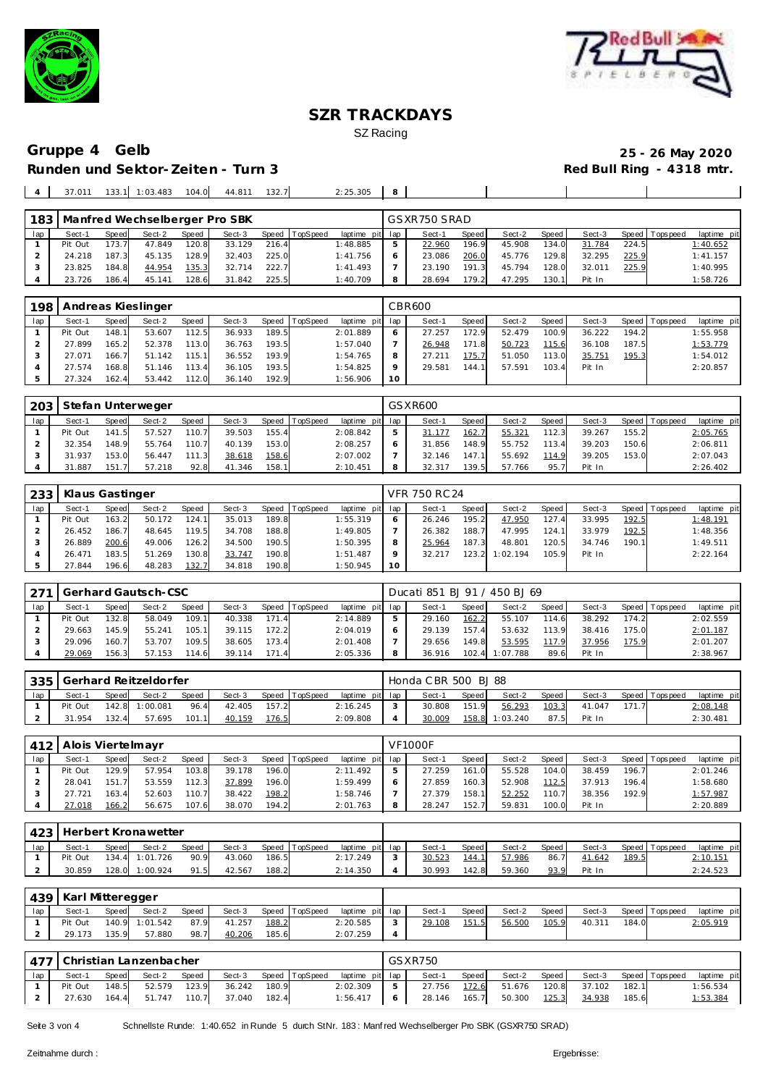



# **Runden und Sektor-Zeiten - Turn 3**

# Gruppe 4 Gelb<br>
Runden und Sektor-Zeiten - Turn 3 Red Bull Ring - 4318 mtr.

| 1831 |         |       |        |       | Manfred Wechselberger Pro SBK |       |          |                 | GSXR750 SRAD |              |        |       |        |       |                 |             |
|------|---------|-------|--------|-------|-------------------------------|-------|----------|-----------------|--------------|--------------|--------|-------|--------|-------|-----------------|-------------|
| lap  | Sect-1  | Speed | Sect-2 | Speed | Sect-3                        | Speed | TopSpeed | laptime pit lap | Sect-1       | <b>Speed</b> | Sect-2 | Speed | Sect-3 |       | Speed Tops peed | laptime pit |
|      | Pit Out | 173.7 | 47.849 | 120.8 | 33.129                        | 216.4 |          | 1:48.885        | 22.960       | 196.9        | 45.908 | 134.0 | 31.784 | 224.5 |                 | 1:40.652    |
|      | 24.218  | 187.3 | 45.135 | 128.9 | 32.403                        | 225.0 |          | 1:41.756        | 23.086       | 206.0        | 45.776 | 129.8 | 32.295 | 225.9 |                 | 1:41.157    |
|      | 23.825  | 184.8 | 44.954 | 135.3 | 32.714                        | 222.7 |          | 1:41.493        | 23.190       | 191.3        | 45.794 | 128.0 | 32.011 | 225.9 |                 | 1:40.995    |
|      | 23.726  | 186.4 | 45.141 | 128.6 | 31.842                        | 225.5 |          | 1:40.709        | 28.694       | 179.2        | 47.295 | 130.1 | Pit In |       |                 | 1:58.726    |

| 198 |         |       | Andreas Kieslinger |              |        |       |          |                 |    | CBR600 |       |        |       |        |       |                |             |
|-----|---------|-------|--------------------|--------------|--------|-------|----------|-----------------|----|--------|-------|--------|-------|--------|-------|----------------|-------------|
| lap | Sect-1  | Speed | Sect-2             | <b>Speed</b> | Sect-3 | Speed | TopSpeed | laptime pit lap |    | Sect-1 | Speed | Sect-2 | Speed | Sect-3 |       | Speed Topspeed | laptime pit |
|     | Pit Out | 148.1 | 53.607             | 112.5        | 36.933 | 189.5 |          | 2:01.889        |    | 27.257 | 172.9 | 52.479 | 100.9 | 36.222 | 194.2 |                | 1:55.958    |
|     | 27.899  | 165.2 | 52.378             | 113.0        | 36.763 | 193.5 |          | 1:57.040        |    | 26.948 | 171.8 | 50.723 | 115.6 | 36.108 | 187.5 |                | 1:53.779    |
|     | 27.071  | 166.7 | 51.142             | 115.1        | 36.552 | 193.9 |          | 1:54.765        |    | 27.211 | 175.7 | 51.050 | 113.0 | 35.751 | 195.3 |                | 1:54.012    |
|     | 27.574  | 168.8 | 51.146             | 113.4        | 36.105 | 193.5 |          | 1:54.825        |    | 29.581 | 144.1 | 57.591 | 103.4 | Pit In |       |                | 2:20.857    |
|     | 27.324  | 162.4 | 53.442             | 112.0        | 36.140 | 192.9 |          | : 56.906        | 10 |        |       |        |       |        |       |                |             |

| 203 |         |       | Stefan Unterweger |       |        |       |          |                 | GSXR600 |       |        |       |        |       |          |             |
|-----|---------|-------|-------------------|-------|--------|-------|----------|-----------------|---------|-------|--------|-------|--------|-------|----------|-------------|
| lap | Sect-1  | Speed | Sect-2            | Speed | Sect-3 | Speed | TopSpeed | laptime pit lap | Sect-1  | Speed | Sect-2 | Speed | Sect-3 | Speed | Topspeed | laptime pit |
|     | Pit Out | 141.5 | 57.527            | 110.7 | 39.503 | 155.4 |          | 2:08.842        | 31.177  | 162.7 | 55.321 | '12.3 | 39.267 | 155.2 |          | 2:05.765    |
|     | 32.354  | 148.9 | 55.764            | 110.7 | 40.139 | 153.0 |          | 2:08.257        | 31.856  | 148.9 | 55.752 | 113.4 | 39.203 | 150.6 |          | 2:06.811    |
|     | 31.937  | 153.0 | 56.447            | 111.3 | 38.618 | 158.6 |          | 2:07.002        | 32.146  | 147.1 | 55.692 | 114.9 | 39.205 | 153.0 |          | 2:07.043    |
|     | 31.887  | 151.  | 57.218            | 92.8  | 41.346 | 158.1 |          | 2:10.451        | 32.317  | 139.5 | 57.766 | 95.7  | Pit In |       |          | 2:26.402    |

| 233 | Klaus Gastinger |              |        |       |        |       |                  |                 |    | VFR 750 RC 24 |       |          |       |        |       |                 |             |
|-----|-----------------|--------------|--------|-------|--------|-------|------------------|-----------------|----|---------------|-------|----------|-------|--------|-------|-----------------|-------------|
| lap | Sect-1          | <b>Speed</b> | Sect-2 | Speed | Sect-3 |       | Speed   TopSpeed | laptime pit lap |    | Sect-1        | Speed | Sect-2   | Speed | Sect-3 |       | Speed Tops peed | laptime pit |
|     | Pit Out         | 163.2        | 50.172 | 124.1 | 35.013 | 189.8 |                  | 1:55.319        |    | 26.246        | 195.2 | 47.950   | 127.4 | 33.995 | 192.5 |                 | 1:48.191    |
|     | 26.452          | 186.7        | 48.645 | 119.5 | 34.708 | 188.8 |                  | 1:49.805        |    | 26.382        | 188.7 | 47.995   | 124.1 | 33.979 | 192.5 |                 | 1:48.356    |
|     | 26.889          | 200.6        | 49.006 | 126.2 | 34.500 | 190.5 |                  | 1:50.395        |    | 25.964        | 187.3 | 48.801   | 120.5 | 34.746 | 190.1 |                 | 1:49.511    |
|     | 26.471          | 183.5        | 51.269 | 130.8 | 33.747 | 190.8 |                  | 1:51.487        |    | 32.217        | 123.2 | 1:02.194 | 105.9 | Pit In |       |                 | 2:22.164    |
|     | 27.844          | 196.6        | 48.283 | 132.7 | 34.818 | 190.8 |                  | 1:50.945        | 10 |               |       |          |       |        |       |                 |             |

|     |         |       | Gerhard Gautsch-CSC |       |        |           |          |                 | Ducati 851 BJ 91 / 450 BJ 69 |       |          |       |        |       |                   |             |
|-----|---------|-------|---------------------|-------|--------|-----------|----------|-----------------|------------------------------|-------|----------|-------|--------|-------|-------------------|-------------|
| lap | Sect-1  | Speed | Sect-2              | Speed | Sect-3 | Speed   T | TopSpeed | laptime pit lap | Sect-1                       | Speed | Sect-2   | Speed | Sect-3 |       | Speed   Tops peed | laptime pit |
|     | Pit Out | 132.8 | 58.049              | 109.1 | 40.338 | 171.4     |          | 2:14.889        | 29.160                       | 162.2 | 55.107   | 114.6 | 38.292 | 174.2 |                   | 2:02.559    |
|     | 29.663  | 145.9 | 55.241              | 105.1 | 39.115 | 172.2     |          | 2:04.019        | 29.139                       | 157.4 | 53.632   | 113.9 | 38.416 | 175.0 |                   | 2:01.187    |
|     | 29.096  | 160.7 | 53.707              | 109.5 | 38.605 | 173.4     |          | 2:01.408        | 29.656                       | 149.8 | 53.595   | 117.9 | 37.956 | 175.9 |                   | 2:01.207    |
|     | 29.069  | 156.3 | 57.153              | 114.6 | 39.114 | 171.4     |          | 2:05.336        | 36.916                       | 102.4 | 1:07.788 | 89.6  | Pit In |       |                   | 2:38.967    |

| 335 |         |       | Gerhard Reitzeldorfer |       |        |       |          |                 | Honda CBR 500 BJ 88 |              |          |       |        |       |                |                  |
|-----|---------|-------|-----------------------|-------|--------|-------|----------|-----------------|---------------------|--------------|----------|-------|--------|-------|----------------|------------------|
| lap | Sect-1  | Speed | Sect-2                | Speed | Sect-3 | Speed | TopSpeed | laptime pit lap | Sect-1              | <b>Speed</b> | Sect-2   | Speed | Sect-3 |       | Speed Topspeed | laptime pit      |
|     | Pit Out | 142.8 | 1:00.087              | 96.4  | 42.405 | 157.2 |          | 2:16.245        | 30.808              | 151.9        | 56.293   | 103.3 | 41.047 | 171.7 |                | <u> 2:08.148</u> |
|     | .954    | 132.4 | 57.695                | 101.1 | 40.159 | 176.5 |          | 2:09.808        | 30.009              | 158.8        | 1:03.240 | 87.5  | Pit In |       |                | 2:30.481         |

|     | 412   Alois Viertelmayr |       |        |              |        |       |                |                 | <b>VF1000F</b> |       |        |       |        |       |                 |             |
|-----|-------------------------|-------|--------|--------------|--------|-------|----------------|-----------------|----------------|-------|--------|-------|--------|-------|-----------------|-------------|
| lap | Sect-1                  | Speed | Sect-2 | <b>Speed</b> | Sect-3 |       | Speed TopSpeed | laptime pit lap | Sect-1         | Speed | Sect-2 | Speed | Sect-3 |       | Speed Tops peed | laptime pit |
|     | Pit Out                 | 129.9 | 57.954 | 103.8        | 39.178 | 196.0 |                | 2:11.492        | 27.259         | 161.0 | 55.528 | 104.0 | 38.459 | 196.7 |                 | 2:01.246    |
|     | 28.041                  | 151.7 | 53.559 | 112.3        | 37.899 | 196.0 |                | 1:59.499        | 27.859         | 160.3 | 52.908 | 112.5 | 37.913 | 196.4 |                 | 1:58.680    |
|     | 27.721                  | 163.4 | 52.603 | 110.7        | 38.422 | 198.2 |                | 1:58.746        | 27.379         | 158.1 | 52.252 | 110.7 | 38.356 | 192.9 |                 | 1:57.987    |
|     | 27.018                  | 166.2 | 56.675 | 107.6        | 38.070 | 194.2 |                | 2:01.763        | 28.247         | 152.7 | 59.831 | 100.0 | Pit In |       |                 | 2:20.889    |

|     | 423 Herbert Kronawetter |              |                |              |        |       |          |                 |               |        |       |        |       |        |       |                 |                  |
|-----|-------------------------|--------------|----------------|--------------|--------|-------|----------|-----------------|---------------|--------|-------|--------|-------|--------|-------|-----------------|------------------|
| lap | Sect-1                  | <b>Speed</b> | Sect-2         | <b>Speed</b> | Sect-3 | Speed | TopSpeed | laptime pit lap |               | Sect-  | Speed | Sect-2 | Speed | Sect-3 |       | Speed Tops peed | laptime pit      |
|     | Pit Out                 |              | 134.4 1:01.726 | 90.9         | 43.060 | 186.5 |          | 2:17.249        | $\mathcal{L}$ | 30.523 | 144.1 | 57.986 | 86.7  | 41.642 | 189.5 |                 | <u> 2:10.151</u> |
|     | 30.859                  | 128.0        | 1:00.924       | 91.5         | 42.567 | 188.2 |          | 2:14.350        |               | 30.993 | 142.8 | 59.360 | 93.9  | Pit In |       |                 | 2:24.523         |

|     | 439   Karl Mitteregger |              |                |       |        |       |                |                 |        |        |       |        |       |        |       |                |             |
|-----|------------------------|--------------|----------------|-------|--------|-------|----------------|-----------------|--------|--------|-------|--------|-------|--------|-------|----------------|-------------|
| lap | Sect-1                 | <b>Speed</b> | Sect-2         | Speed | Sect-3 |       | Speed TopSpeed | laptime pit lap |        | Sect-1 | Speed | Sect-2 | Speed | Sect-3 |       | Speed Topspeed | laptime pit |
|     | Pit Out                |              | 140.9 1:01.542 | 87.9  | 41.257 | 188.2 |                | 2:20.585        | $\sim$ | 29.108 | 151.5 | 56.500 | 105.9 | 40.311 | 184.0 |                | 2:05.919    |
|     | 29.173                 | 135.9        | 57.880         | 98.7  | 40.206 | 185.6 |                | 2:07.259        |        |        |       |        |       |        |       |                |             |

|     | '477   Christian Lanzenbacher |       |          |       |                                             |                       |                 |     | GSXR750 |       |                     |              |       |                       |             |
|-----|-------------------------------|-------|----------|-------|---------------------------------------------|-----------------------|-----------------|-----|---------|-------|---------------------|--------------|-------|-----------------------|-------------|
| lap | Sect-1                        | Speed | Sect-2 L | Speed |                                             | Sect-3 Speed TopSpeed | laptime pit lap |     | Sect-1  | Speed | Sect-2 Speed        |              |       | Sect-3 Speed Topspeed | laptime pit |
|     | Pit Out                       | 148.5 | 52.579   | 123.9 | 36.242 180.9                                |                       | 2:02.309        | - 5 | 27.756  |       | 172.6 51.676 120.8  | 37.102 182.1 |       |                       | 1:56.534    |
|     |                               |       |          |       | 27.630  164.4  51.747  110.7  37.040  182.4 |                       | $1:56.417$ 6    |     |         |       | 28.146 165.7 50.300 | 125.3 34.938 | 185.6 |                       | 1:53.384    |

Seite 3 von 4 Schnellste Runde: 1:40.652 in Runde 5 durch StNr. 183: Manf red Wechselberger Pro SBK (GSXR750 SRAD)